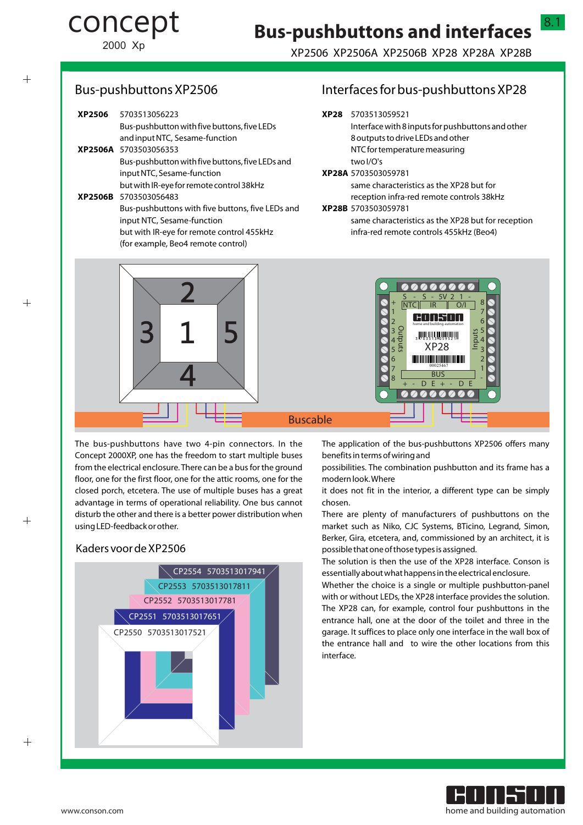2000 Xp

concept

## XP2506 XP2506A XP2506B XP28 XP28A XP28B

 $^{+}$ 

 $+$ 

## Bus-pushbuttons XP2506

| <b>XP2506</b> | 5703513056223                                    |
|---------------|--------------------------------------------------|
|               | Bus-pushbutton with five buttons, five LEDs      |
|               | and input NTC, Sesame-function                   |
|               | XP2506A 5703503056353                            |
|               | Bus-pushbutton with five buttons, five LEDs and  |
|               | input NTC, Sesame-function                       |
|               | but with IR-eye for remote control 38kHz         |
|               | XP2506B 5703503056483                            |
|               | Bus-pushbuttons with five buttons, five LEDs and |
|               | input NTC, Sesame-function                       |
|               | but with IR-eye for remote control 455kHz        |
|               | (for example, Beo4 remote control)               |
|               |                                                  |

# Interfaces for bus-pushbuttons XP28

8.1

| XP28 5703513059521                                 |
|----------------------------------------------------|
| Interface with 8 inputs for pushbuttons and other  |
| 8 outputs to drive LEDs and other                  |
| NTC for temperature measuring                      |
| two I/O's                                          |
| <b>XP28A 5703503059781</b>                         |
| same characteristics as the XP28 but for           |
| reception infra-red remote controls 38kHz          |
| XP28B 5703503059781                                |
| same characteristics as the XP28 but for reception |
| infra-red remote controls 455kHz (Beo4)            |



The bus-pushbuttons have two 4-pin connectors. In the Concept 2000XP, one has the freedom to start multiple buses from the electrical enclosure. There can be a bus for the ground floor, one for the first floor, one for the attic rooms, one for the closed porch, etcetera. The use of multiple buses has a great advantage in terms of operational reliability. One bus cannot disturb the other and there is a better power distribution when using LED-feedback or other.

### Kaders voor de XP2506



The application of the bus-pushbuttons XP2506 offers many benefits in terms of wiring and

possibilities. The combination pushbutton and its frame has a modern look. Where

it does not fit in the interior, a different type can be simply chosen.

There are plenty of manufacturers of pushbuttons on the market such as Niko, CJC Systems, BTicino, Legrand, Simon, Berker, Gira, etcetera, and, commissioned by an architect, it is possible that one of those types is assigned.

The solution is then the use of the XP28 interface. Conson is essentially about what happens in the electrical enclosure.

Whether the choice is a single or multiple pushbutton-panel with or without LEDs, the XP28 interface provides the solution. The XP28 can, for example, control four pushbuttons in the entrance hall, one at the door of the toilet and three in the garage. It suffices to place only one interface in the wall box of the entrance hall and to wire the other locations from this interface.

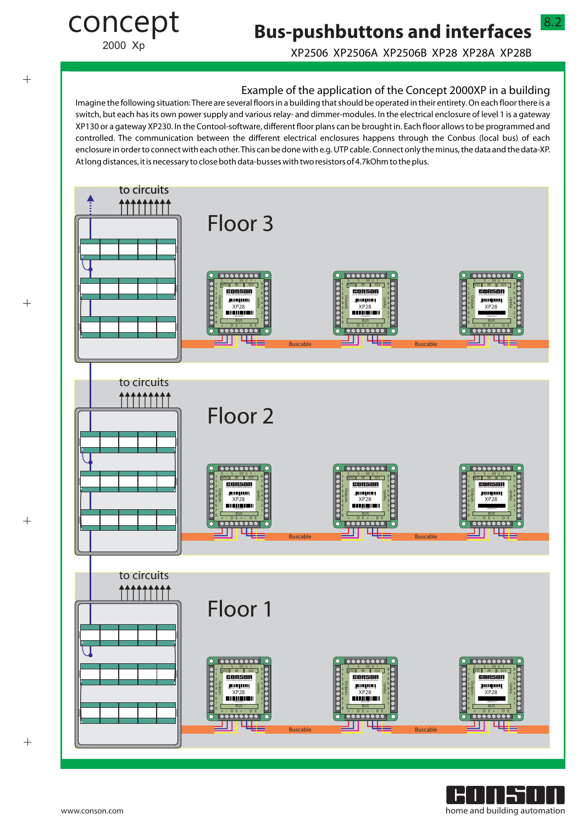2000 Xp

concept

# **Bus-pushbuttons and interfaces**

XP2506 XP2506A XP2506B XP28 XP28A XP28B

8.2

### Example of the application of the Concept 2000XP in a building

Imagine the following situation: There are several floors in a building that should be operated in their entirety. On each floor there is a switch, but each has its own power supply and various relay- and dimmer-modules. In the electrical enclosure of level 1 is a gateway XP130 or a gateway XP230. In the Contool-software, different floor plans can be brought in. Each floor allows to be programmed and controlled. The communication between the different electrical enclosures happens through the Conbus (local bus) of each enclosure in order to connect with each other. This can be done with e.g. UTP cable. Connect only the minus, the data and the data-XP. At long distances, it is necessary to close both data-busses with two resistors of 4.7kOhm to the plus.



 $+$ 

 $+$ 

 $^{+}$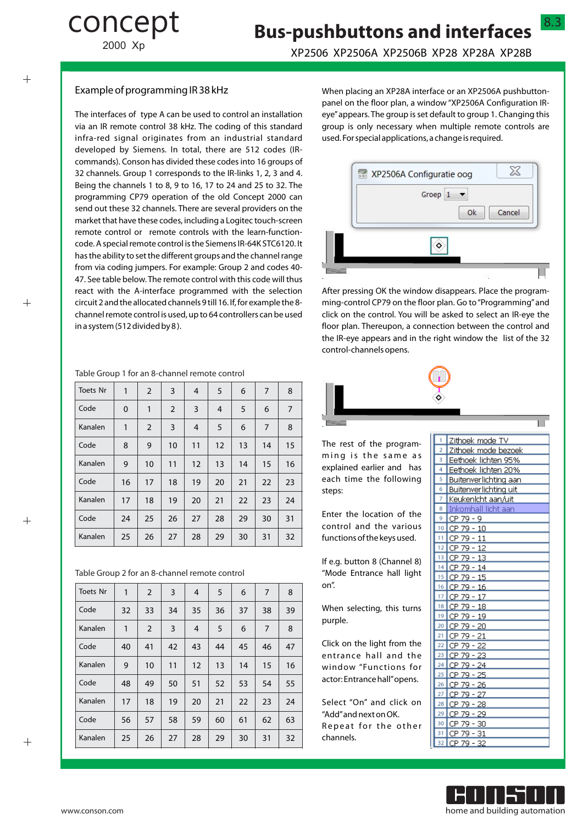# **Bus-pushbuttons and interfaces**

2000 Xp

concept

### XP2506 XP2506A XP2506B XP28 XP28A XP28B

#### Example of programming IR 38 kHz

The interfaces of type A can be used to control an installation via an IR remote control 38 kHz. The coding of this standard infra-red signal originates from an industrial standard developed by Siemens. In total, there are 512 codes (IRcommands). Conson has divided these codes into 16 groups of 32 channels. Group 1 corresponds to the IR-links 1, 2, 3 and 4. Being the channels 1 to 8, 9 to 16, 17 to 24 and 25 to 32. The programming CP79 operation of the old Concept 2000 can send out these 32 channels. There are several providers on the market that have these codes, including a Logitec touch-screen remote control or remote controls with the learn-functioncode. A special remote control is the Siemens IR-64K STC6120. It has the ability to set the different groups and the channel range from via coding jumpers. For example: Group 2 and codes 40- 47. See table below. The remote control with this code will thus react with the A-interface programmed with the selection circuit 2 and the allocated channels 9 till 16. If, for example the 8 channel remote control is used, up to 64 controllers can be used in a system (512 divided by 8 ).

#### Table Group 1 for an 8-channel remote control

| <b>Toets Nr</b> | 1  | $\overline{2}$ | 3              | 4  | 5  | 6  | $\overline{7}$ | 8              |
|-----------------|----|----------------|----------------|----|----|----|----------------|----------------|
| Code            | 0  | 1              | $\overline{2}$ | 3  | 4  | 5  | 6              | $\overline{7}$ |
| Kanalen         | 1  | $\overline{2}$ | 3              | 4  | 5  | 6  | $\overline{7}$ | 8              |
| Code            | 8  | 9              | 10             | 11 | 12 | 13 | 14             | 15             |
| Kanalen         | 9  | 10             | 11             | 12 | 13 | 14 | 15             | 16             |
| Code            | 16 | 17             | 18             | 19 | 20 | 21 | 22             | 23             |
| Kanalen         | 17 | 18             | 19             | 20 | 21 | 22 | 23             | 24             |
| Code            | 24 | 25             | 26             | 27 | 28 | 29 | 30             | 31             |
| Kanalen         | 25 | 26             | 27             | 28 | 29 | 30 | 31             | 32             |

Table Group 2 for an 8-channel remote control

| <b>Toets Nr</b> | 1  | $\overline{2}$ | 3  | 4              | 5  | 6  | 7  | 8  |
|-----------------|----|----------------|----|----------------|----|----|----|----|
| Code            | 32 | 33             | 34 | 35             | 36 | 37 | 38 | 39 |
| Kanalen         | 1  | $\overline{2}$ | 3  | $\overline{4}$ | 5  | 6  | 7  | 8  |
| Code            | 40 | 41             | 42 | 43             | 44 | 45 | 46 | 47 |
| Kanalen         | 9  | 10             | 11 | 12             | 13 | 14 | 15 | 16 |
| Code            | 48 | 49             | 50 | 51             | 52 | 53 | 54 | 55 |
| Kanalen         | 17 | 18             | 19 | 20             | 21 | 22 | 23 | 24 |
| Code            | 56 | 57             | 58 | 59             | 60 | 61 | 62 | 63 |
| Kanalen         | 25 | 26             | 27 | 28             | 29 | 30 | 31 | 32 |

When placing an XP28A interface or an XP2506A pushbuttonpanel on the floor plan, a window "XP2506A Configuration IReye"appears. The group is set default to group 1. Changing this group is only necessary when multiple remote controls are used. For special applications, a change is required.



After pressing OK the window disappears. Place the programming-control CP79 on the floor plan. Go to "Programming"and click on the control. You will be asked to select an IR-eye the floor plan. Thereupon, a connection between the control and the IR-eye appears and in the right window the list of the 32 control-channels opens.



The rest of the programming is the same as explained earlier and has each time the following steps:

Enter the location of the control and the various functions of the keys used.

If e.g. button 8 (Channel 8) "Mode Entrance hall light on".

When selecting, this turns purple.

Click on the light from the entrance hall and the window "Functions for actor: Entrance hall"opens.

Select "On" and click on "Add"and next on OK. Repeat for the other channels.

| 1              | Zithoek mode TV       |
|----------------|-----------------------|
| $\overline{2}$ | Zithoek mode bezoek   |
| ٩              | Eethoek lichten 95%   |
| 4              | Eethoek lichten 20%   |
| 5              | Buitenverlichting aan |
| 6              | Buitenverlichting uit |
| 7              | Keukenlcht aan/uit    |
| 8              | Inkomhall licht aan   |
| 9              | 79<br>CP<br>- 9       |
| 10             | CP 79 - 10            |
| 11             | CP 79 - 11            |
| 12             | 12<br>CP<br>79 -      |
| 13             | 79.<br>СP<br>13       |
| 14             | 79 -<br>CP<br>14      |
| 15             | 15<br>СP<br>79        |
| 16             | 79<br>16<br>CP.       |
| 17             | CР<br>79<br>17        |
| 18             | CP<br>79<br>18        |
| 19             | CP<br>$79 -$<br>19    |
| 20             | 79 -<br>СP<br>20      |
| 21             | CР<br>79<br>21        |
| 22             | СP<br>79 -<br>22      |
| 23             | 79<br>СP<br>23        |
| 24             | 79<br>CР<br>- 24      |
| 25             | 79<br>25<br>CР        |
| 26             | 79<br>CP<br>26        |
| 27             | 79<br>27<br>СP        |
| 28             | СP<br>79<br>28        |
| 29             | 79<br>CP<br>29        |
| 30             | 79<br>СP<br>30        |
| 31             | СP<br>79 -<br>31      |
| 32             | $79 - 32$<br>CР       |
|                |                       |



 $^{+}$ 

 $\overline{+}$ 

 $\! +$